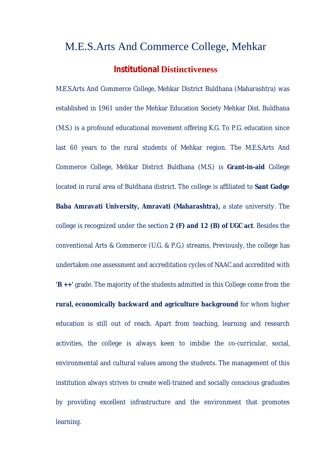## M.E.S.Arts And Commerce College, Mehkar

## **Institutional Distinctiveness**

M.E.S.Arts And Commerce College, Mehkar District Buldhana (Maharashtra) was established in 1961 under the Mehkar Education Society Mehkar Dist. Buldhana (M.S.) is a profound educational movement offering K.G. To P.G. education since last 60 years to the rural students of Mehkar region. The M.E.S.Arts And Commerce College, Mehkar District Buldhana (M.S.) is **Grant-in-aid** College located in rural area of Buldhana district. The college is affiliated to **Sant Gadge Baba Amravati University, Amravati (Maharashtra),** a state university. The college is recognized under the section **2 (F) and 12 (B) of UGC act**. Besides the conventional Arts & Commerce (U.G. & P.G.) streams, Previously, the college has undertaken one assessment and accreditation cycles of NAAC and accredited with **'B ++'** grade. The majority of the students admitted in this College come from the **rural, economically backward and agriculture background** for whom higher education is still out of reach. Apart from teaching, learning and research activities, the college is always keen to imbibe the co-curricular, social, environmental and cultural values among the students. The management of this institution always strives to create well-trained and socially conscious graduates by providing excellent infrastructure and the environment that promotes learning.